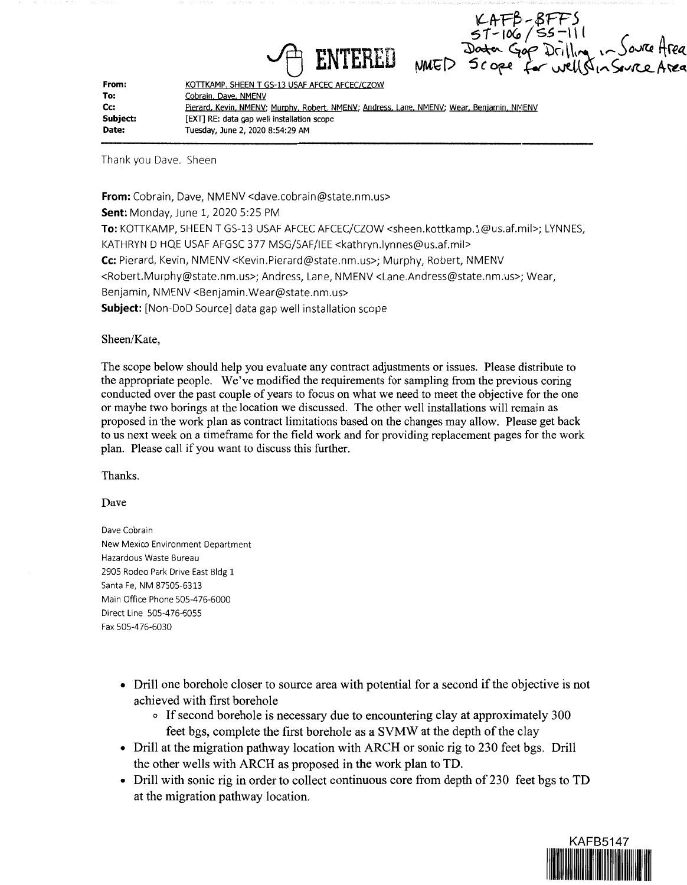ENTERED MED SCORE for wellshadever Area<br>ENTERED MED Scope for wellshadever Area

| From:    | KOTTKAMP, SHEEN T GS-13 USAF AFCEC AFCEC/CZOW                                             |
|----------|-------------------------------------------------------------------------------------------|
| To:      | Cobrain, Dave, NMENV                                                                      |
| Cc:      | Pierard, Kevin, NMENV; Murphy, Robert, NMENV; Andress, Lane, NMENV; Wear, Benjamin, NMENV |
| Subject: | [EXT] RE: data gap well installation scope                                                |
| Date:    | Tuesday, June 2, 2020 8:54:29 AM                                                          |

Thank you Dave. Sheen

**From:** Cobrain, Dave, NMENV <dave.cobrain@state.nm.us> **Sent:** Monday, June 1, 2020 5:25 PM **To:** KOTTKAMP, SHEEN T GS-13 USAF AFCEC AFCEC/CZOW <sheen.kottkamp.l@us.af.mil>; LYNN ES, KATHRYN D HQE USAF AFGSC 377 MSG/SAF/IEE <kathryn.lynnes@us.af.mil> **Cc:** Pierard, Kevin, NMENV <Kevin.Pierard@state.nm.us>; Murphy, Robert, NMENV <Robert.Murphy@state.nm.us>; Andress, Lane, NMENV <Lane.Andress@state.nm.us>; Wear, Benjamin, NMENV <Benjamin.Wear@state.nm.us> **Subject:** [Non-DoD Source] data gap well installation scope

## Sheen/Kate,

The scope below should help you evaluate any contract adjustments or issues. Please distribute to the appropriate people. We've modified the requirements for sampling from the previous coring conducted over the past couple of years to focus on what we need to meet the objective for the one or maybe two borings at the location we discussed. The other well installations will remain as proposed in the work plan as contract limitations based on the changes may allow. Please get back to us next week on a timeframe for the field work and for providing replacement pages for the work plan. Please call if you want to discuss this further.

Thanks.

Dave

Dave Cobrain New Mexico Environment Department Hazardous Waste Bureau 2905 Rodeo Park Drive East Bldg 1 Santa Fe, NM 87505-6313 Main Office Phone 505-476-6000 Direct Line 505-476-6055 Fax 505-4 76-6030

- Drill one borehole closer to source area with potential for a second if the objective is not achieved with first borehole
	- o If second borehole is necessary due to encountering clay at approximately 300 feet bgs, complete the first borehole as a SVMW at the depth of the clay
- Drill at the migration pathway location with ARCH or sonic rig to 230 feet bgs. Drill the other wells with ARCH as proposed in the work plan to TD.
- Drill with sonic rig in order to collect continuous core from depth of 230 feet bgs to TD at the migration pathway location.